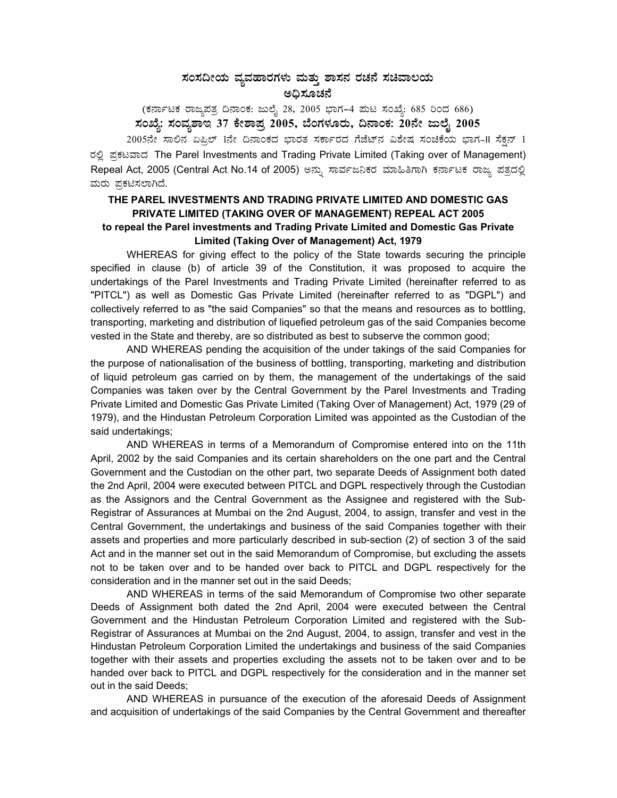## ಸಂಸದೀಯ ವ್ಯವಹಾರಗಳು ಮತ್ತು ಶಾಸನ ರಚನೆ ಸಚಿವಾಲಯ ಅದಿಸೂಚನೆ

(ಕರ್ನಾಟಕ ರಾಜ್ಯಪತ್ರ ದಿನಾಂಕ: ಜುಲೈ 28, 2005 ಭಾಗ–4 ಮಟ ಸಂಖ್ಯೆ: 685 ರಿಂದ 686)<br>ಸಂಖ್ಯೆ: ಸಂವ್ಯಶಾಇ 37 ಕೇಶಾಪ್ರ 2005, ಬೆಂಗಳೂರು, ದಿನಾಂಕ: 20ನೇ ಜುಲೈ 2005

 $2005$ ನೇ ಸಾಲಿನ ಏಪ್ರಿಲ್ 1ನೇ ದಿನಾಂಕದ ಭಾರತ ಸರ್ಕಾರದ ಗೆಜೆಟ್ನ ವಿಶೇಷ ಸಂಚಿಕೆಯ ಭಾಗ-II ಸೆಕ್ಷನ್ 1 ರಲ್ಲಿ ಪ್ರಕಟವಾದ The Parel Investments and Trading Private Limited (Taking over of Management) Repeal Act, 2005 (Central Act No.14 of 2005) ಅನ್ನು ಸಾರ್ವಜನಿಕರ ಮಾಹಿತಿಗಾಗಿ ಕರ್ನಾಟಕ ರಾಜ್ಯ ಪತ್ರದಲ್ಲಿ ಮರು ಪ್ರಕಟಿಸಲಾಗಿದೆ.

## THE PAREL INVESTMENTS AND TRADING PRIVATE LIMITED AND DOMESTIC GAS PRIVATE LIMITED (TAKING OVER OF MANAGEMENT) REPEAL ACT 2005 to repeal the Parel investments and Trading Private Limited and Domestic Gas Private Limited (Taking Over of Management) Act, 1979

WHEREAS for giving effect to the policy of the State towards securing the principle specified in clause (b) of article 39 of the Constitution, it was proposed to acquire the undertakings of the Parel Investments and Trading Private Limited (hereinafter referred to as "PITCL") as well as Domestic Gas Private Limited (hereinafter referred to as "DGPL") and collectively referred to as "the said Companies" so that the means and resources as to bottling. transporting, marketing and distribution of liquefied petroleum gas of the said Companies become vested in the State and thereby, are so distributed as best to subserve the common good;

AND WHEREAS pending the acquisition of the under takings of the said Companies for the purpose of nationalisation of the business of bottling, transporting, marketing and distribution of liquid petroleum gas carried on by them, the management of the undertakings of the said Companies was taken over by the Central Government by the Parel Investments and Trading Private Limited and Domestic Gas Private Limited (Taking Over of Management) Act, 1979 (29 of 1979), and the Hindustan Petroleum Corporation Limited was appointed as the Custodian of the said undertakings;

AND WHEREAS in terms of a Memorandum of Compromise entered into on the 11th April, 2002 by the said Companies and its certain shareholders on the one part and the Central Government and the Custodian on the other part, two separate Deeds of Assignment both dated the 2nd April, 2004 were executed between PITCL and DGPL respectively through the Custodian as the Assignors and the Central Government as the Assignee and registered with the Sub-Registrar of Assurances at Mumbai on the 2nd August, 2004, to assign, transfer and vest in the Central Government, the undertakings and business of the said Companies together with their assets and properties and more particularly described in sub-section (2) of section 3 of the said Act and in the manner set out in the said Memorandum of Compromise, but excluding the assets not to be taken over and to be handed over back to PITCL and DGPL respectively for the consideration and in the manner set out in the said Deeds;

AND WHEREAS in terms of the said Memorandum of Compromise two other separate Deeds of Assignment both dated the 2nd April, 2004 were executed between the Central Government and the Hindustan Petroleum Corporation Limited and registered with the Sub-Registrar of Assurances at Mumbai on the 2nd August, 2004, to assign, transfer and vest in the Hindustan Petroleum Corporation Limited the undertakings and business of the said Companies together with their assets and properties excluding the assets not to be taken over and to be handed over back to PITCL and DGPL respectively for the consideration and in the manner set out in the said Deeds;

AND WHEREAS in pursuance of the execution of the aforesaid Deeds of Assignment and acquisition of undertakings of the said Companies by the Central Government and thereafter